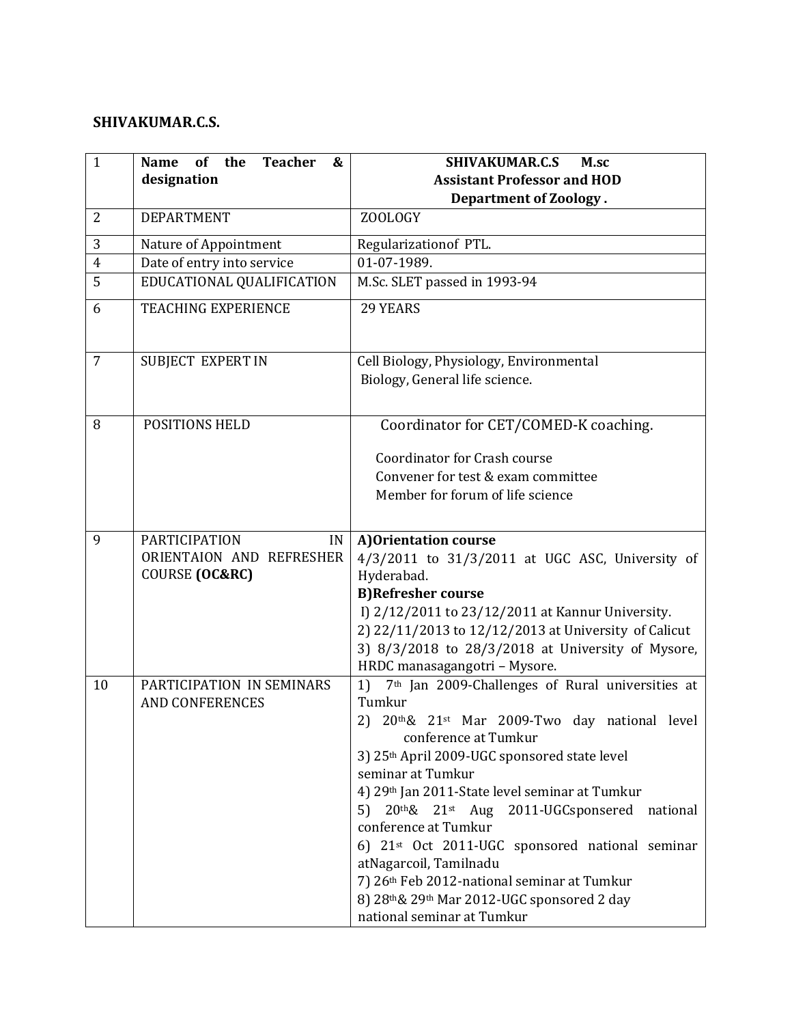## **SHIVAKUMAR.C.S.**

| $\mathbf{1}$   | <b>Teacher</b><br><b>of</b><br>the<br>&<br><b>Name</b><br>designation | <b>SHIVAKUMAR.C.S</b><br>M.sc<br><b>Assistant Professor and HOD</b><br><b>Department of Zoology.</b>                                                                                                                                                                                                                                                                                                                                                                                                                                                               |
|----------------|-----------------------------------------------------------------------|--------------------------------------------------------------------------------------------------------------------------------------------------------------------------------------------------------------------------------------------------------------------------------------------------------------------------------------------------------------------------------------------------------------------------------------------------------------------------------------------------------------------------------------------------------------------|
| $\overline{2}$ | <b>DEPARTMENT</b>                                                     | <b>ZOOLOGY</b>                                                                                                                                                                                                                                                                                                                                                                                                                                                                                                                                                     |
| 3              | Nature of Appointment                                                 | Regularizationof PTL.                                                                                                                                                                                                                                                                                                                                                                                                                                                                                                                                              |
| $\overline{4}$ | Date of entry into service                                            | 01-07-1989.                                                                                                                                                                                                                                                                                                                                                                                                                                                                                                                                                        |
| 5              | EDUCATIONAL QUALIFICATION                                             | M.Sc. SLET passed in 1993-94                                                                                                                                                                                                                                                                                                                                                                                                                                                                                                                                       |
| 6              | <b>TEACHING EXPERIENCE</b>                                            | 29 YEARS                                                                                                                                                                                                                                                                                                                                                                                                                                                                                                                                                           |
| 7              | SUBJECT EXPERT IN                                                     | Cell Biology, Physiology, Environmental<br>Biology, General life science.                                                                                                                                                                                                                                                                                                                                                                                                                                                                                          |
| 8              | POSITIONS HELD                                                        | Coordinator for CET/COMED-K coaching.<br>Coordinator for Crash course<br>Convener for test & exam committee<br>Member for forum of life science                                                                                                                                                                                                                                                                                                                                                                                                                    |
| 9              | PARTICIPATION<br>IN<br>ORIENTAION AND REFRESHER<br>COURSE (OC&RC)     | A) Orientation course<br>$4/3/2011$ to $31/3/2011$ at UGC ASC, University of<br>Hyderabad.<br><b>B)Refresher course</b><br>I) 2/12/2011 to 23/12/2011 at Kannur University.<br>2) 22/11/2013 to 12/12/2013 at University of Calicut<br>3) 8/3/2018 to 28/3/2018 at University of Mysore,<br>HRDC manasagangotri - Mysore.                                                                                                                                                                                                                                          |
| 10             | PARTICIPATION IN SEMINARS<br><b>AND CONFERENCES</b>                   | 7 <sup>th</sup> Jan 2009-Challenges of Rural universities at<br>1)<br>Tumkur<br>20th& 21st Mar 2009-Two day national level<br>2)<br>conference at Tumkur<br>3) 25th April 2009-UGC sponsored state level<br>seminar at Tumkur<br>4) 29th Jan 2011-State level seminar at Tumkur<br>20th& 21st Aug 2011-UGCsponsered national<br>5)<br>conference at Tumkur<br>6) 21st Oct 2011-UGC sponsored national seminar<br>atNagarcoil, Tamilnadu<br>7) 26th Feb 2012-national seminar at Tumkur<br>8) 28th& 29th Mar 2012-UGC sponsored 2 day<br>national seminar at Tumkur |